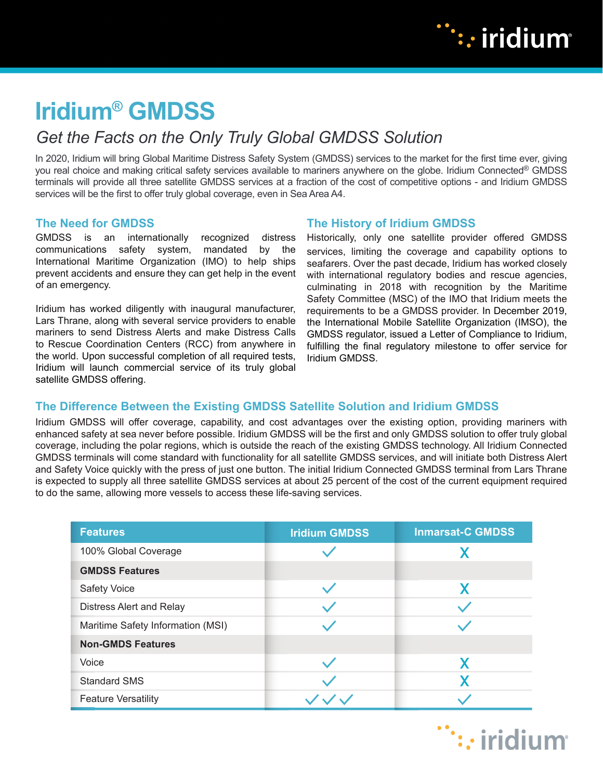

# **Iridium® GMDSS**

## *Get the Facts on the Only Truly Global GMDSS Solution*

In 2020, Iridium will bring Global Maritime Distress Safety System (GMDSS) services to the market for the first time ever, giving you real choice and making critical safety services available to mariners anywhere on the globe. Iridium Connected® GMDSS terminals will provide all three satellite GMDSS services at a fraction of the cost of competitive options - and Iridium GMDSS services will be the first to offer truly global coverage, even in Sea Area A4.

#### **The Need for GMDSS**

GMDSS is an internationally recognized distress communications safety system, mandated by the International Maritime Organization (IMO) to help ships prevent accidents and ensure they can get help in the event of an emergency.

Iridium has worked diligently with inaugural manufacturer, Lars Thrane, along with several service providers to enable mariners to send Distress Alerts and make Distress Calls to Rescue Coordination Centers (RCC) from anywhere in the world. Upon successful completion of all required tests, Iridium will launch commercial service of its truly global satellite GMDSS offering.

#### **The History of Iridium GMDSS**

Historically, only one satellite provider offered GMDSS services, limiting the coverage and capability options to seafarers. Over the past decade, Iridium has worked closely with international regulatory bodies and rescue agencies, culminating in 2018 with recognition by the Maritime Safety Committee (MSC) of the IMO that Iridium meets the requirements to be a GMDSS provider. In December 2019, the International Mobile Satellite Organization (IMSO), the GMDSS regulator, issued a Letter of Compliance to Iridium, fulfilling the final regulatory milestone to offer service for Iridium GMDSS.

### **The Difference Between the Existing GMDSS Satellite Solution and Iridium GMDSS**

Iridium GMDSS will offer coverage, capability, and cost advantages over the existing option, providing mariners with enhanced safety at sea never before possible. Iridium GMDSS will be the first and only GMDSS solution to offer truly global coverage, including the polar regions, which is outside the reach of the existing GMDSS technology. All Iridium Connected GMDSS terminals will come standard with functionality for all satellite GMDSS services, and will initiate both Distress Alert and Safety Voice quickly with the press of just one button. The initial Iridium Connected GMDSS terminal from Lars Thrane is expected to supply all three satellite GMDSS services at about 25 percent of the cost of the current equipment required to do the same, allowing more vessels to access these life-saving services.

| <b>Features</b>                   | <b>Iridium GMDSS</b> | <b>Inmarsat-C GMDSS</b> |
|-----------------------------------|----------------------|-------------------------|
| 100% Global Coverage              |                      |                         |
| <b>GMDSS Features</b>             |                      |                         |
| <b>Safety Voice</b>               |                      |                         |
| Distress Alert and Relay          |                      |                         |
| Maritime Safety Information (MSI) |                      |                         |
| <b>Non-GMDS Features</b>          |                      |                         |
| Voice                             |                      |                         |
| <b>Standard SMS</b>               |                      |                         |
| <b>Feature Versatility</b>        |                      |                         |